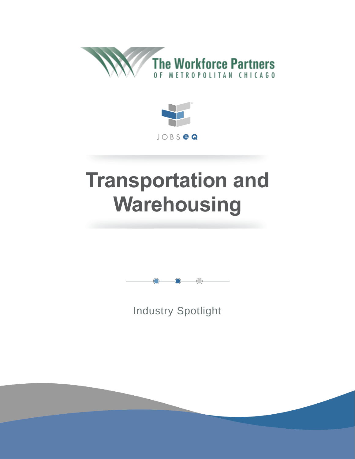



# **Transportation and Warehousing**



Industry Spotlight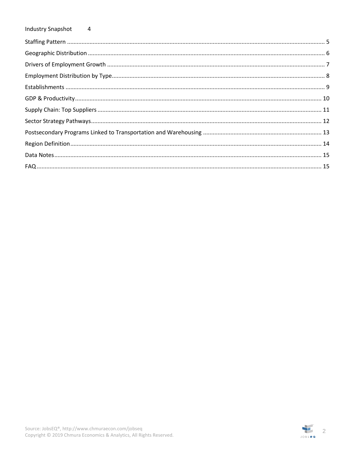#### **Industry Snapshot**  $\overline{4}$

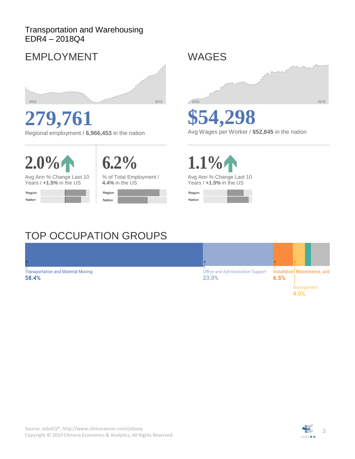### Transportation and Warehousing EDR4 – 2018Q4

### EMPLOYMENT



**279,761**

Regional employment / **6,966,453** in the nation





Avg Ann % Change Last 10 Years / **+1.5%** in the US



% of Total Employment / **4.4%** in the US



WAGES



**\$54,298**

Avg Wages per Worker / **\$52,845** in the nation

**1.1%**

Avg Ann % Change Last 10 Years / **+1.5%** in the US



### TOP OCCUPATION GROUPS

Transportation and Material Moving Office and Administrative Support Installation, Maintenance, and 58.4% 23.0%  $6.5%$ Management 4.0%

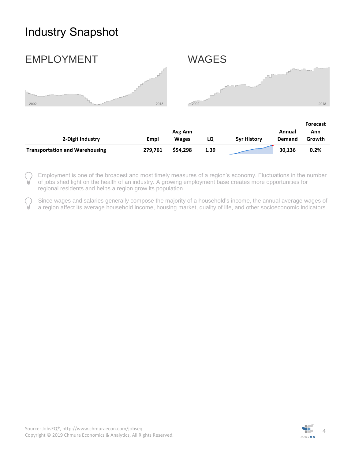### <span id="page-3-0"></span>Industry Snapshot



|                                       |         |              |      |                    |               | <b>Forecast</b> |
|---------------------------------------|---------|--------------|------|--------------------|---------------|-----------------|
|                                       | Avg Ann |              |      |                    | Annual        | Ann             |
| 2-Digit Industry                      | Empl    | <b>Wages</b> | LQ   | <b>5vr History</b> | <b>Demand</b> | Growth          |
| <b>Transportation and Warehousing</b> | 279.761 | \$54,298     | 1.39 |                    | 30.136        | 0.2%            |

Employment is one of the broadest and most timely measures of a region's economy. Fluctuations in the number of jobs shed light on the health of an industry. A growing employment base creates more opportunities for regional residents and helps a region grow its population.

Since wages and salaries generally compose the majority of a household's income, the annual average wages of a region affect its average household income, housing market, quality of life, and other socioeconomic indicators.

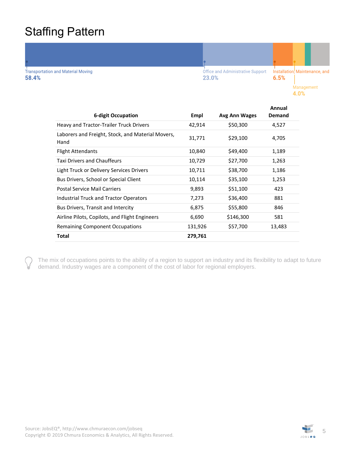### <span id="page-4-0"></span>Staffing Pattern

**Transportation and Material Moving** 58.4%

Office and Administrative Support 23.0%

Installation, Maintenance, and  $6.5%$ Management 4.0%

|                                                           |         |               | Annual |
|-----------------------------------------------------------|---------|---------------|--------|
| <b>6-digit Occupation</b>                                 | Empl    | Avg Ann Wages | Demand |
| Heavy and Tractor-Trailer Truck Drivers                   | 42,914  | \$50,300      | 4,527  |
| Laborers and Freight, Stock, and Material Movers,<br>Hand | 31,771  | \$29,100      | 4,705  |
| <b>Flight Attendants</b>                                  | 10,840  | \$49,400      | 1,189  |
| <b>Taxi Drivers and Chauffeurs</b>                        | 10,729  | \$27,700      | 1,263  |
| Light Truck or Delivery Services Drivers                  | 10,711  | \$38,700      | 1,186  |
| Bus Drivers, School or Special Client                     | 10,114  | \$35,100      | 1,253  |
| Postal Service Mail Carriers                              | 9,893   | \$51,100      | 423    |
| Industrial Truck and Tractor Operators                    | 7,273   | \$36,400      | 881    |
| Bus Drivers, Transit and Intercity                        | 6,875   | \$55,800      | 846    |
| Airline Pilots, Copilots, and Flight Engineers            | 6,690   | \$146,300     | 581    |
| <b>Remaining Component Occupations</b>                    | 131,926 | \$57,700      | 13,483 |
| <b>Total</b>                                              | 279,761 |               |        |
|                                                           |         |               |        |

The mix of occupations points to the ability of a region to support an industry and its flexibility to adapt to future demand. Industry wages are a component of the cost of labor for regional employers.

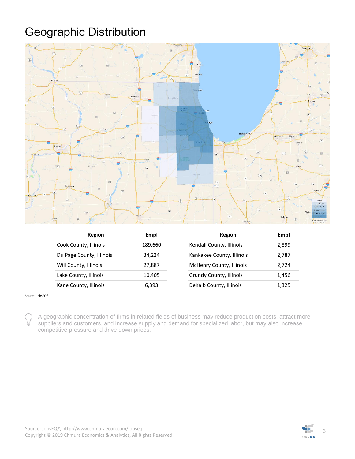## <span id="page-5-0"></span>Geographic Distribution



| Region                   | Empl    | Region                          | Empl  |
|--------------------------|---------|---------------------------------|-------|
| Cook County, Illinois    | 189,660 | Kendall County, Illinois        | 2,899 |
| Du Page County, Illinois | 34.224  | Kankakee County, Illinois       | 2,787 |
| Will County, Illinois    | 27.887  | <b>McHenry County, Illinois</b> | 2.724 |
| Lake County, Illinois    | 10.405  | Grundy County, Illinois         | 1,456 |
| Kane County, Illinois    | 6.393   | DeKalb County, Illinois         | 1,325 |

Source[: JobsEQ®](http://www.chmuraecon.com/jobseq)

A geographic concentration of firms in related fields of business may reduce production costs, attract more suppliers and customers, and increase supply and demand for specialized labor, but may also increase competitive pressure and drive down prices.

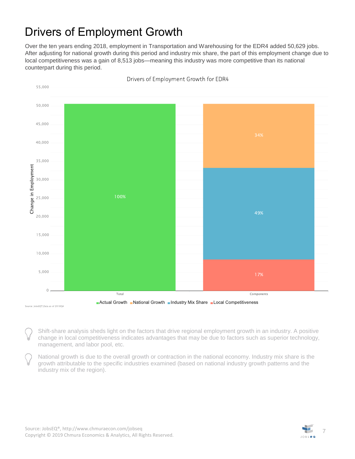### <span id="page-6-0"></span>Drivers of Employment Growth

Over the ten years ending 2018, employment in Transportation and Warehousing for the EDR4 added 50,629 jobs. After adjusting for national growth during this period and industry mix share, the part of this employment change due to local competitiveness was a gain of 8,513 jobs—meaning this industry was more competitive than its national counterpart during this period.



Drivers of Employment Growth for EDR4

Shift-share analysis sheds light on the factors that drive regional employment growth in an industry. A positive change in local competitiveness indicates advantages that may be due to factors such as superior technology, management, and labor pool, etc.

National growth is due to the overall growth or contraction in the national economy. Industry mix share is the growth attributable to the specific industries examined (based on national industry growth patterns and the industry mix of the region).

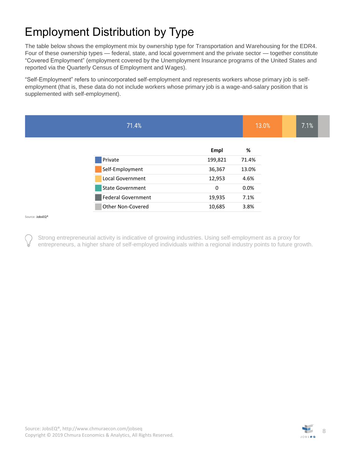## <span id="page-7-0"></span>Employment Distribution by Type

The table below shows the employment mix by ownership type for Transportation and Warehousing for the EDR4. Four of these ownership types — federal, state, and local government and the private sector — together constitute "Covered Employment" (employment covered by the Unemployment Insurance programs of the United States and reported via the Quarterly Census of Employment and Wages).

"Self-Employment" refers to unincorporated self-employment and represents workers whose primary job is selfemployment (that is, these data do not include workers whose primary job is a wage-and-salary position that is supplemented with self-employment).

| 71.4%                   |         | 13.0% | 7.1% |  |
|-------------------------|---------|-------|------|--|
|                         | Empl    | %     |      |  |
| Private                 | 199,821 | 71.4% |      |  |
| Self-Employment         | 36,367  | 13.0% |      |  |
| Local Government        | 12,953  | 4.6%  |      |  |
| <b>State Government</b> | 0       | 0.0%  |      |  |
| Federal Government      | 19,935  | 7.1%  |      |  |
| Other Non-Covered       | 10,685  | 3.8%  |      |  |

Source[: JobsEQ®](http://www.chmuraecon.com/jobseq)

Strong entrepreneurial activity is indicative of growing industries. Using self-employment as a proxy for entrepreneurs, a higher share of self-employed individuals within a regional industry points to future growth.

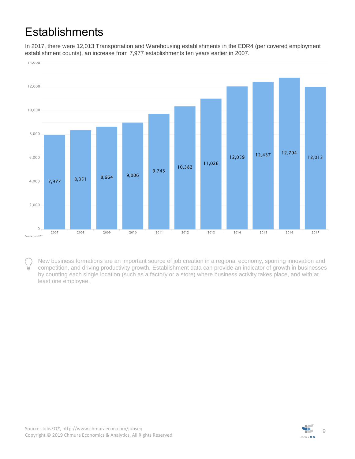### <span id="page-8-0"></span>**Establishments**

In 2017, there were 12,013 Transportation and Warehousing establishments in the EDR4 (per covered employment establishment counts), an increase from 7,977 establishments ten years earlier in 2007.



New business formations are an important source of job creation in a regional economy, spurring innovation and competition, and driving productivity growth. Establishment data can provide an indicator of growth in businesses by counting each single location (such as a factory or a store) where business activity takes place, and with at least one employee.

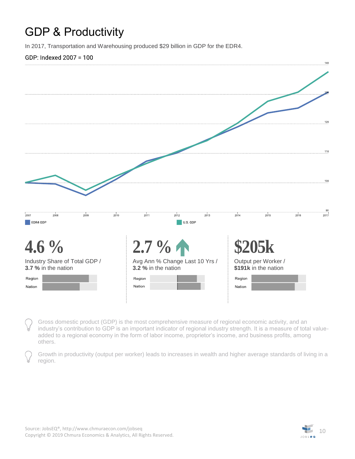### <span id="page-9-0"></span>GDP & Productivity

In 2017, Transportation and Warehousing produced \$29 billion in GDP for the EDR4.

#### GDP: Indexed 2007 = 100



Gross domestic product (GDP) is the most comprehensive measure of regional economic activity, and an industry's contribution to GDP is an important indicator of regional industry strength. It is a measure of total valueadded to a regional economy in the form of labor income, proprietor's income, and business profits, among others.

Growth in productivity (output per worker) leads to increases in wealth and higher average standards of living in a region.

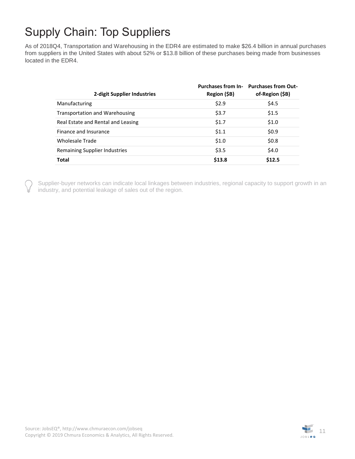### <span id="page-10-0"></span>Supply Chain: Top Suppliers

As of 2018Q4, Transportation and Warehousing in the EDR4 are estimated to make \$26.4 billion in annual purchases from suppliers in the United States with about 52% or \$13.8 billion of these purchases being made from businesses located in the EDR4.

| 2-digit Supplier Industries           | Region (\$B) | Purchases from In- Purchases from Out-<br>of-Region (\$B) |
|---------------------------------------|--------------|-----------------------------------------------------------|
| Manufacturing                         | \$2.9        | \$4.5                                                     |
| <b>Transportation and Warehousing</b> | \$3.7        | \$1.5                                                     |
| Real Estate and Rental and Leasing    | \$1.7        | \$1.0                                                     |
| Finance and Insurance                 | \$1.1        | \$0.9                                                     |
| Wholesale Trade                       | \$1.0        | \$0.8\$                                                   |
| Remaining Supplier Industries         | \$3.5        | \$4.0                                                     |
| <b>Total</b>                          | \$13.8       | \$12.5                                                    |

Supplier-buyer networks can indicate local linkages between industries, regional capacity to support growth in an industry, and potential leakage of sales out of the region.

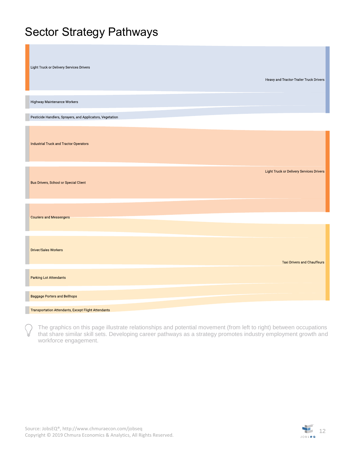### <span id="page-11-0"></span>Sector Strategy Pathways

| Light Truck or Delivery Services Drivers                   | Heavy and Tractor-Trailer Truck Drivers  |
|------------------------------------------------------------|------------------------------------------|
| Highway Maintenance Workers                                |                                          |
| Pesticide Handlers, Sprayers, and Applicators, Vegetation  |                                          |
| <b>Industrial Truck and Tractor Operators</b>              |                                          |
| <b>Bus Drivers, School or Special Client</b>               | Light Truck or Delivery Services Drivers |
| <b>Couriers and Messengers</b>                             |                                          |
| <b>Driver/Sales Workers</b>                                | <b>Taxi Drivers and Chauffeurs</b>       |
| <b>Parking Lot Attendants</b>                              |                                          |
| <b>Baggage Porters and Bellhops</b>                        |                                          |
| <b>Transportation Attendants, Except Flight Attendants</b> |                                          |

The graphics on this page illustrate relationships and potential movement (from left to right) between occupations that share similar skill sets. Developing career pathways as a strategy promotes industry employment growth and workforce engagement.

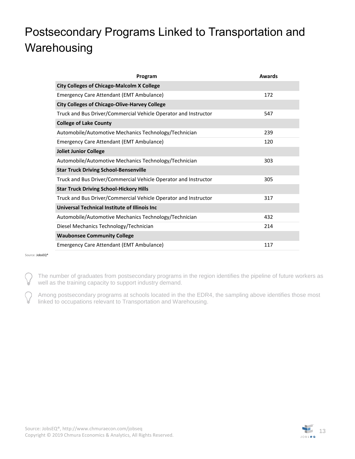## <span id="page-12-0"></span>Postsecondary Programs Linked to Transportation and **Warehousing**

| Program                                                         | Awards |
|-----------------------------------------------------------------|--------|
| <b>City Colleges of Chicago-Malcolm X College</b>               |        |
| Emergency Care Attendant (EMT Ambulance)                        | 172    |
| <b>City Colleges of Chicago-Olive-Harvey College</b>            |        |
| Truck and Bus Driver/Commercial Vehicle Operator and Instructor | 547    |
| <b>College of Lake County</b>                                   |        |
| Automobile/Automotive Mechanics Technology/Technician           | 239    |
| <b>Emergency Care Attendant (EMT Ambulance)</b>                 | 120    |
| <b>Joliet Junior College</b>                                    |        |
| Automobile/Automotive Mechanics Technology/Technician           | 303    |
| <b>Star Truck Driving School-Bensenville</b>                    |        |
| Truck and Bus Driver/Commercial Vehicle Operator and Instructor | 305    |
| <b>Star Truck Driving School-Hickory Hills</b>                  |        |
| Truck and Bus Driver/Commercial Vehicle Operator and Instructor | 317    |
| Universal Technical Institute of Illinois Inc                   |        |
| Automobile/Automotive Mechanics Technology/Technician           | 432    |
| Diesel Mechanics Technology/Technician                          | 214    |
| <b>Waubonsee Community College</b>                              |        |
| <b>Emergency Care Attendant (EMT Ambulance)</b>                 | 117    |

Source[: JobsEQ®](http://www.chmuraecon.com/jobseq)

The number of graduates from postsecondary programs in the region identifies the pipeline of future workers as well as the training capacity to support industry demand.

Among postsecondary programs at schools located in the the EDR4, the sampling above identifies those most linked to occupations relevant to Transportation and Warehousing.

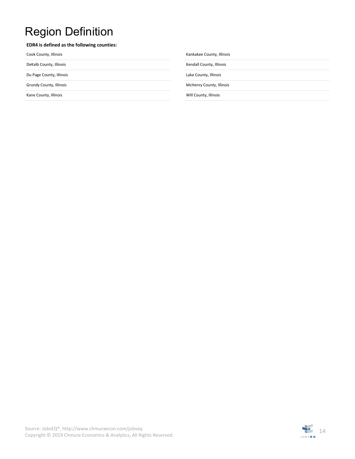### <span id="page-13-0"></span>Region Definition

#### **EDR4 is defined as the following counties:**

Cook County, Illinois **Cook County, Illinois** Kankakee County, Illinois

Kane County, Illinois **Will County, Illinois** Will County, Illinois

DeKalb County, Illinois **Kendall County, Illinois** Kendall County, Illinois

Du Page County, Illinois Lake County, Illinois

Grundy County, Illinois **McHenry County, Illinois** McHenry County, Illinois